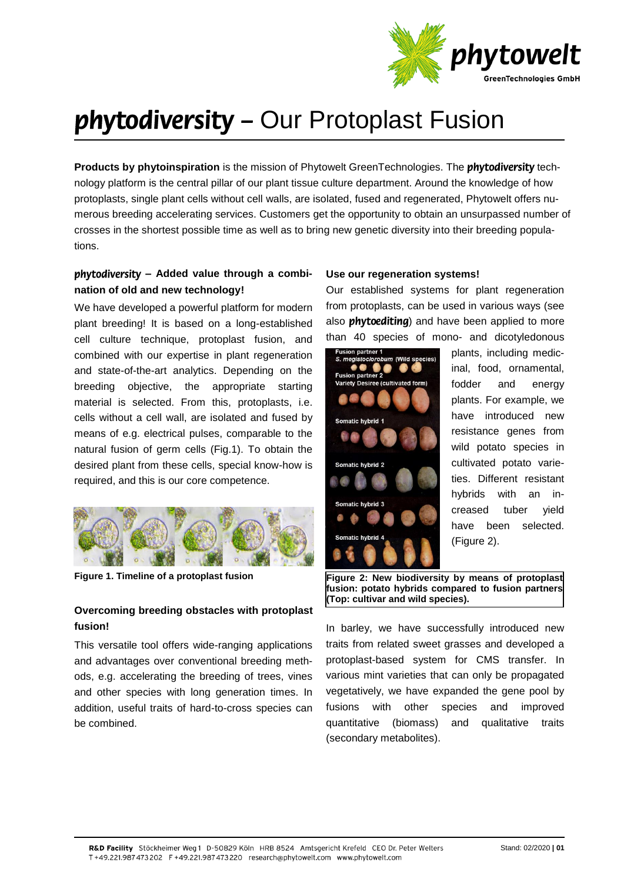

# phytodiversity - Our Protoplast Fusion

**Products by phytoinspiration** is the mission of Phytowelt GreenTechnologies. The *phytodiversity* technology platform is the central pillar of our plant tissue culture department. Around the knowledge of how protoplasts, single plant cells without cell walls, are isolated, fused and regenerated, Phytowelt offers numerous breeding accelerating services. Customers get the opportunity to obtain an unsurpassed number of crosses in the shortest possible time as well as to bring new genetic diversity into their breeding populations.

# *bhytodiversity - Added value through a combi***nation of old and new technology!**

We have developed a powerful platform for modern plant breeding! It is based on a long-established cell culture technique, protoplast fusion, and combined with our expertise in plant regeneration and state-of-the-art analytics. Depending on the breeding objective, the appropriate starting material is selected. From this, protoplasts, i.e. cells without a cell wall, are isolated and fused by means of e.g. electrical pulses, comparable to the natural fusion of germ cells (Fig.1). To obtain the desired plant from these cells, special know-how is required, and this is our core competence.



**Figure 1. Timeline of a protoplast fusion**

## **Overcoming breeding obstacles with protoplast fusion!**

This versatile tool offers wide-ranging applications and advantages over conventional breeding methods, e.g. accelerating the breeding of trees, vines and other species with long generation times. In addition, useful traits of hard-to-cross species can be combined.

### **Use our regeneration systems!**

Our established systems for plant regeneration from protoplasts, can be used in various ways (see also **phytoediting**) and have been applied to more than 40 species of mono- and dicotyledonous



plants, including medicinal, food, ornamental, fodder and energy plants. For example, we have introduced new resistance genes from wild potato species in cultivated potato varieties. Different resistant hybrids with an increased tuber yield have been selected. (Figure 2).

**Figure 2: New biodiversity by means of protoplast fusion: potato hybrids compared to fusion partners (Top: cultivar and wild species).**

In barley, we have successfully introduced new traits from related sweet grasses and developed a protoplast-based system for CMS transfer. In various mint varieties that can only be propagated vegetatively, we have expanded the gene pool by fusions with other species and improved quantitative (biomass) and qualitative traits (secondary metabolites).